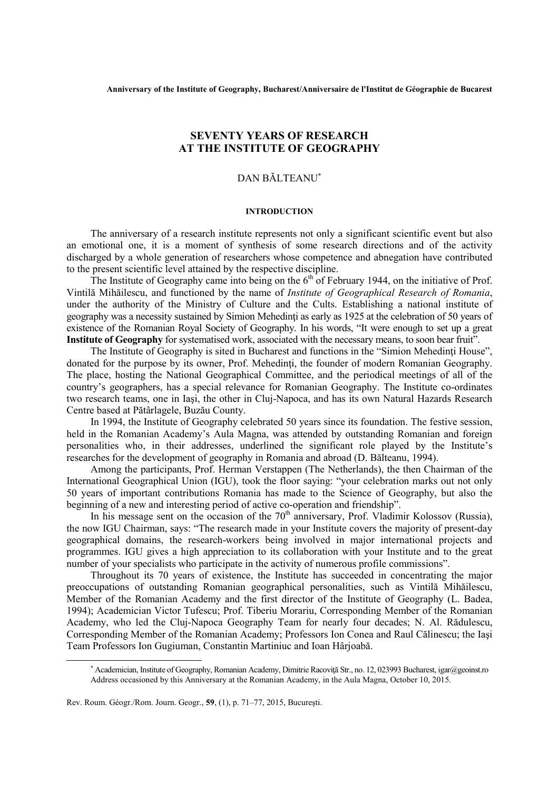# **SEVENTY YEARS OF RESEARCH AT THE INSTITUTE OF GEOGRAPHY**

# DAN BĂLTEANU<sup>∗</sup>

## **INTRODUCTION**

The anniversary of a research institute represents not only a significant scientific event but also an emotional one, it is a moment of synthesis of some research directions and of the activity discharged by a whole generation of researchers whose competence and abnegation have contributed to the present scientific level attained by the respective discipline.

The Institute of Geography came into being on the  $6<sup>th</sup>$  of February 1944, on the initiative of Prof. Vintilă Mihăilescu, and functioned by the name of *Institute of Geographical Research of Romania*, under the authority of the Ministry of Culture and the Cults. Establishing a national institute of geography was a necessity sustained by Simion Mehedinti as early as 1925 at the celebration of 50 years of existence of the Romanian Royal Society of Geography. In his words, "It were enough to set up a great **Institute of Geography** for systematised work, associated with the necessary means, to soon bear fruit".

The Institute of Geography is sited in Bucharest and functions in the "Simion Mehedinti House", donated for the purpose by its owner, Prof. Mehedinți, the founder of modern Romanian Geography. The place, hosting the National Geographical Committee, and the periodical meetings of all of the country's geographers, has a special relevance for Romanian Geography. The Institute co-ordinates two research teams, one in Iaşi, the other in Cluj-Napoca, and has its own Natural Hazards Research Centre based at Pătârlagele, Buzău County.

In 1994, the Institute of Geography celebrated 50 years since its foundation. The festive session, held in the Romanian Academy's Aula Magna, was attended by outstanding Romanian and foreign personalities who, in their addresses, underlined the significant role played by the Institute's researches for the development of geography in Romania and abroad (D. Bălteanu, 1994).

Among the participants, Prof. Herman Verstappen (The Netherlands), the then Chairman of the International Geographical Union (IGU), took the floor saying: "your celebration marks out not only 50 years of important contributions Romania has made to the Science of Geography, but also the beginning of a new and interesting period of active co-operation and friendship".

In his message sent on the occasion of the  $70<sup>th</sup>$  anniversary, Prof. Vladimir Kolossov (Russia), the now IGU Chairman, says: "The research made in your Institute covers the majority of present-day geographical domains, the research-workers being involved in major international projects and programmes. IGU gives a high appreciation to its collaboration with your Institute and to the great number of your specialists who participate in the activity of numerous profile commissions".

Throughout its 70 years of existence, the Institute has succeeded in concentrating the major preoccupations of outstanding Romanian geographical personalities, such as Vintilă Mihăilescu, Member of the Romanian Academy and the first director of the Institute of Geography (L. Badea, 1994); Academician Victor Tufescu; Prof. Tiberiu Morariu, Corresponding Member of the Romanian Academy, who led the Cluj-Napoca Geography Team for nearly four decades; N. Al. Rădulescu, Corresponding Member of the Romanian Academy; Professors Ion Conea and Raul Călinescu; the Iaşi Team Professors Ion Gugiuman, Constantin Martiniuc and Ioan Hârjoabă.

1

<sup>∗</sup> Academician, Institute of Geography, Romanian Academy, Dimitrie Racoviţă Str., no. 12, 023993 Bucharest, igar@geoinst.ro Address occasioned by this Anniversary at the Romanian Academy, in the Aula Magna, October 10, 2015.

Rev. Roum. Géogr./Rom. Journ. Geogr., **59**, (1), p. 71–77, 2015, Bucureşti.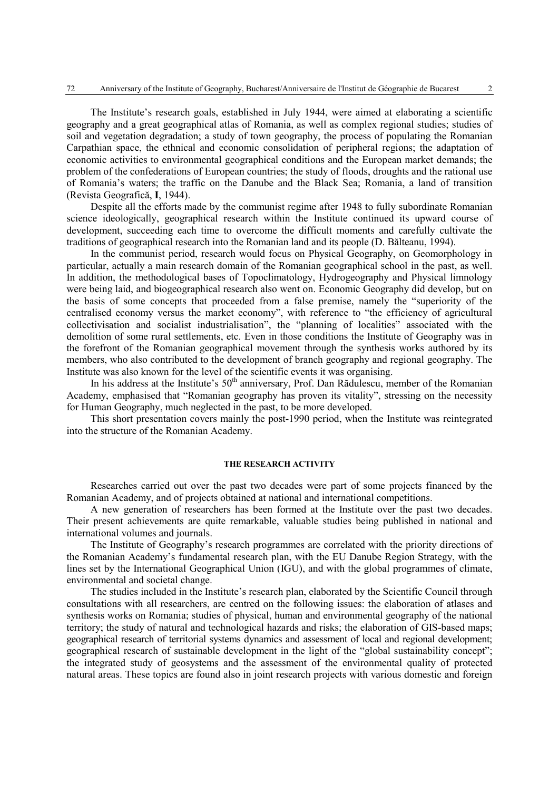The Institute's research goals, established in July 1944, were aimed at elaborating a scientific geography and a great geographical atlas of Romania, as well as complex regional studies; studies of soil and vegetation degradation; a study of town geography, the process of populating the Romanian Carpathian space, the ethnical and economic consolidation of peripheral regions; the adaptation of economic activities to environmental geographical conditions and the European market demands; the problem of the confederations of European countries; the study of floods, droughts and the rational use of Romania's waters; the traffic on the Danube and the Black Sea; Romania, a land of transition (Revista Geografică, **I**, 1944).

Despite all the efforts made by the communist regime after 1948 to fully subordinate Romanian science ideologically, geographical research within the Institute continued its upward course of development, succeeding each time to overcome the difficult moments and carefully cultivate the traditions of geographical research into the Romanian land and its people (D. Bălteanu, 1994).

In the communist period, research would focus on Physical Geography, on Geomorphology in particular, actually a main research domain of the Romanian geographical school in the past, as well. In addition, the methodological bases of Topoclimatology, Hydrogeography and Physical limnology were being laid, and biogeographical research also went on. Economic Geography did develop, but on the basis of some concepts that proceeded from a false premise, namely the "superiority of the centralised economy versus the market economy", with reference to "the efficiency of agricultural collectivisation and socialist industrialisation", the "planning of localities" associated with the demolition of some rural settlements, etc. Even in those conditions the Institute of Geography was in the forefront of the Romanian geographical movement through the synthesis works authored by its members, who also contributed to the development of branch geography and regional geography. The Institute was also known for the level of the scientific events it was organising.

In his address at the Institute's  $50<sup>th</sup>$  anniversary, Prof. Dan Rădulescu, member of the Romanian Academy, emphasised that "Romanian geography has proven its vitality", stressing on the necessity for Human Geography, much neglected in the past, to be more developed.

This short presentation covers mainly the post-1990 period, when the Institute was reintegrated into the structure of the Romanian Academy.

#### **THE RESEARCH ACTIVITY**

Researches carried out over the past two decades were part of some projects financed by the Romanian Academy, and of projects obtained at national and international competitions.

A new generation of researchers has been formed at the Institute over the past two decades. Their present achievements are quite remarkable, valuable studies being published in national and international volumes and journals.

The Institute of Geography's research programmes are correlated with the priority directions of the Romanian Academy's fundamental research plan, with the EU Danube Region Strategy, with the lines set by the International Geographical Union (IGU), and with the global programmes of climate, environmental and societal change.

The studies included in the Institute's research plan, elaborated by the Scientific Council through consultations with all researchers, are centred on the following issues: the elaboration of atlases and synthesis works on Romania; studies of physical, human and environmental geography of the national territory; the study of natural and technological hazards and risks; the elaboration of GIS-based maps; geographical research of territorial systems dynamics and assessment of local and regional development; geographical research of sustainable development in the light of the "global sustainability concept"; the integrated study of geosystems and the assessment of the environmental quality of protected natural areas. These topics are found also in joint research projects with various domestic and foreign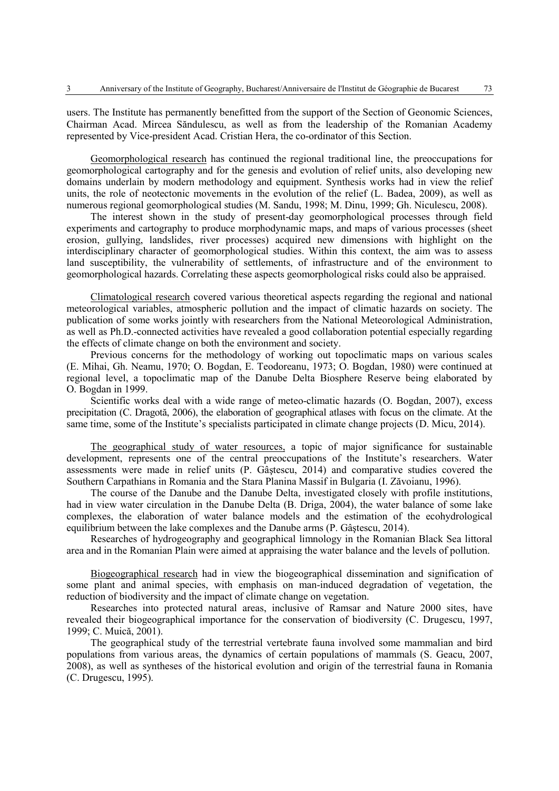users. The Institute has permanently benefitted from the support of the Section of Geonomic Sciences, Chairman Acad. Mircea Săndulescu, as well as from the leadership of the Romanian Academy represented by Vice-president Acad. Cristian Hera, the co-ordinator of this Section.

Geomorphological research has continued the regional traditional line, the preoccupations for geomorphological cartography and for the genesis and evolution of relief units, also developing new domains underlain by modern methodology and equipment. Synthesis works had in view the relief units, the role of neotectonic movements in the evolution of the relief (L. Badea, 2009), as well as numerous regional geomorphological studies (M. Sandu, 1998; M. Dinu, 1999; Gh. Niculescu, 2008).

The interest shown in the study of present-day geomorphological processes through field experiments and cartography to produce morphodynamic maps, and maps of various processes (sheet erosion, gullying, landslides, river processes) acquired new dimensions with highlight on the interdisciplinary character of geomorphological studies. Within this context, the aim was to assess land susceptibility, the vulnerability of settlements, of infrastructure and of the environment to geomorphological hazards. Correlating these aspects geomorphological risks could also be appraised.

Climatological research covered various theoretical aspects regarding the regional and national meteorological variables, atmospheric pollution and the impact of climatic hazards on society. The publication of some works jointly with researchers from the National Meteorological Administration, as well as Ph.D.-connected activities have revealed a good collaboration potential especially regarding the effects of climate change on both the environment and society.

Previous concerns for the methodology of working out topoclimatic maps on various scales (E. Mihai, Gh. Neamu, 1970; O. Bogdan, E. Teodoreanu, 1973; O. Bogdan, 1980) were continued at regional level, a topoclimatic map of the Danube Delta Biosphere Reserve being elaborated by O. Bogdan in 1999.

Scientific works deal with a wide range of meteo-climatic hazards (O. Bogdan, 2007), excess precipitation (C. Dragotă, 2006), the elaboration of geographical atlases with focus on the climate. At the same time, some of the Institute's specialists participated in climate change projects (D. Micu, 2014).

The geographical study of water resources, a topic of major significance for sustainable development, represents one of the central preoccupations of the Institute's researchers. Water assessments were made in relief units (P. Gâştescu, 2014) and comparative studies covered the Southern Carpathians in Romania and the Stara Planina Massif in Bulgaria (I. Zăvoianu, 1996).

The course of the Danube and the Danube Delta, investigated closely with profile institutions, had in view water circulation in the Danube Delta (B. Driga, 2004), the water balance of some lake complexes, the elaboration of water balance models and the estimation of the ecohydrological equilibrium between the lake complexes and the Danube arms (P. Gâştescu, 2014).

Researches of hydrogeography and geographical limnology in the Romanian Black Sea littoral area and in the Romanian Plain were aimed at appraising the water balance and the levels of pollution.

Biogeographical research had in view the biogeographical dissemination and signification of some plant and animal species, with emphasis on man-induced degradation of vegetation, the reduction of biodiversity and the impact of climate change on vegetation.

Researches into protected natural areas, inclusive of Ramsar and Nature 2000 sites, have revealed their biogeographical importance for the conservation of biodiversity (C. Drugescu, 1997, 1999; C. Muică, 2001).

The geographical study of the terrestrial vertebrate fauna involved some mammalian and bird populations from various areas, the dynamics of certain populations of mammals (S. Geacu, 2007, 2008), as well as syntheses of the historical evolution and origin of the terrestrial fauna in Romania (C. Drugescu, 1995).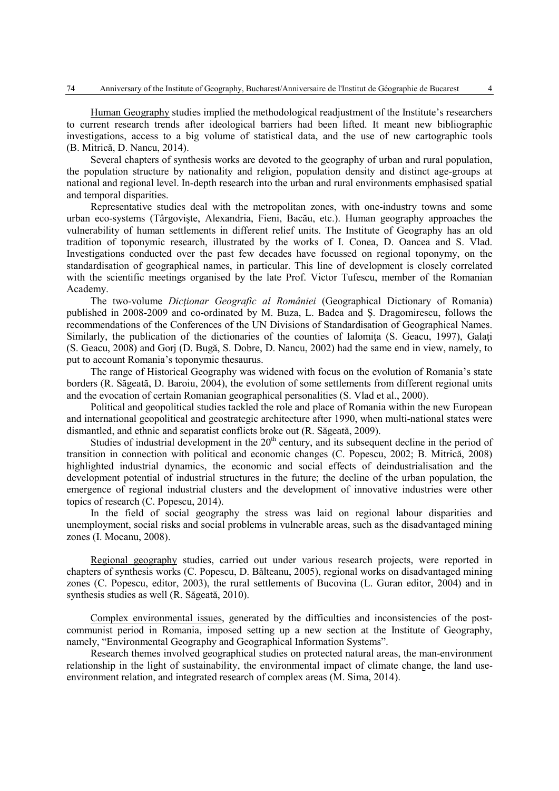Human Geography studies implied the methodological readjustment of the Institute's researchers to current research trends after ideological barriers had been lifted. It meant new bibliographic investigations, access to a big volume of statistical data, and the use of new cartographic tools (B. Mitrică, D. Nancu, 2014).

Several chapters of synthesis works are devoted to the geography of urban and rural population, the population structure by nationality and religion, population density and distinct age-groups at national and regional level. In-depth research into the urban and rural environments emphasised spatial and temporal disparities.

Representative studies deal with the metropolitan zones, with one-industry towns and some urban eco-systems (Târgovişte, Alexandria, Fieni, Bacău, etc.). Human geography approaches the vulnerability of human settlements in different relief units. The Institute of Geography has an old tradition of toponymic research, illustrated by the works of I. Conea, D. Oancea and S. Vlad. Investigations conducted over the past few decades have focussed on regional toponymy, on the standardisation of geographical names, in particular. This line of development is closely correlated with the scientific meetings organised by the late Prof. Victor Tufescu, member of the Romanian Academy.

The two-volume *Dicţionar Geografic al României* (Geographical Dictionary of Romania) published in 2008-2009 and co-ordinated by M. Buza, L. Badea and Ş. Dragomirescu, follows the recommendations of the Conferences of the UN Divisions of Standardisation of Geographical Names. Similarly, the publication of the dictionaries of the counties of Ialomita (S. Geacu, 1997), Galati (S. Geacu, 2008) and Gorj (D. Bugă, S. Dobre, D. Nancu, 2002) had the same end in view, namely, to put to account Romania's toponymic thesaurus.

The range of Historical Geography was widened with focus on the evolution of Romania's state borders (R. Săgeată, D. Baroiu, 2004), the evolution of some settlements from different regional units and the evocation of certain Romanian geographical personalities (S. Vlad et al., 2000).

Political and geopolitical studies tackled the role and place of Romania within the new European and international geopolitical and geostrategic architecture after 1990, when multi-national states were dismantled, and ethnic and separatist conflicts broke out (R. Săgeată, 2009).

Studies of industrial development in the  $20<sup>th</sup>$  century, and its subsequent decline in the period of transition in connection with political and economic changes (C. Popescu, 2002; B. Mitrică, 2008) highlighted industrial dynamics, the economic and social effects of deindustrialisation and the development potential of industrial structures in the future; the decline of the urban population, the emergence of regional industrial clusters and the development of innovative industries were other topics of research (C. Popescu, 2014).

In the field of social geography the stress was laid on regional labour disparities and unemployment, social risks and social problems in vulnerable areas, such as the disadvantaged mining zones (I. Mocanu, 2008).

Regional geography studies, carried out under various research projects, were reported in chapters of synthesis works (C. Popescu, D. Bălteanu, 2005), regional works on disadvantaged mining zones (C. Popescu, editor, 2003), the rural settlements of Bucovina (L. Guran editor, 2004) and in synthesis studies as well (R. Săgeată, 2010).

Complex environmental issues, generated by the difficulties and inconsistencies of the postcommunist period in Romania, imposed setting up a new section at the Institute of Geography, namely, "Environmental Geography and Geographical Information Systems".

Research themes involved geographical studies on protected natural areas, the man-environment relationship in the light of sustainability, the environmental impact of climate change, the land useenvironment relation, and integrated research of complex areas (M. Sima, 2014).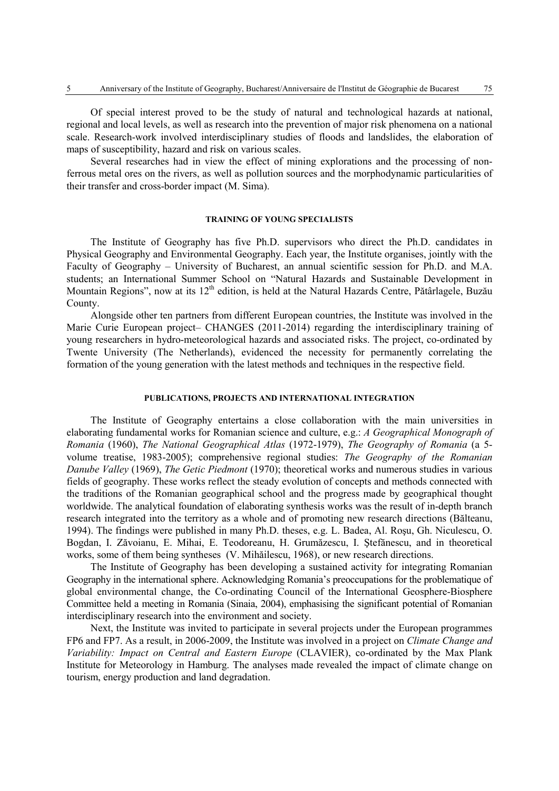Of special interest proved to be the study of natural and technological hazards at national, regional and local levels, as well as research into the prevention of major risk phenomena on a national scale. Research-work involved interdisciplinary studies of floods and landslides, the elaboration of maps of susceptibility, hazard and risk on various scales.

Several researches had in view the effect of mining explorations and the processing of nonferrous metal ores on the rivers, as well as pollution sources and the morphodynamic particularities of their transfer and cross-border impact (M. Sima).

#### **TRAINING OF YOUNG SPECIALISTS**

The Institute of Geography has five Ph.D. supervisors who direct the Ph.D. candidates in Physical Geography and Environmental Geography. Each year, the Institute organises, jointly with the Faculty of Geography – University of Bucharest, an annual scientific session for Ph.D. and M.A. students; an International Summer School on "Natural Hazards and Sustainable Development in Mountain Regions", now at its 12<sup>th</sup> edition, is held at the Natural Hazards Centre, Pătârlagele, Buzău County.

Alongside other ten partners from different European countries, the Institute was involved in the Marie Curie European project– CHANGES (2011-2014) regarding the interdisciplinary training of young researchers in hydro-meteorological hazards and associated risks. The project, co-ordinated by Twente University (The Netherlands), evidenced the necessity for permanently correlating the formation of the young generation with the latest methods and techniques in the respective field.

## **PUBLICATIONS, PROJECTS AND INTERNATIONAL INTEGRATION**

The Institute of Geography entertains a close collaboration with the main universities in elaborating fundamental works for Romanian science and culture, e.g.: *A Geographical Monograph of Romania* (1960), *The National Geographical Atlas* (1972-1979), *The Geography of Romania* (a 5 volume treatise, 1983-2005); comprehensive regional studies: *The Geography of the Romanian Danube Valley* (1969), *The Getic Piedmont* (1970); theoretical works and numerous studies in various fields of geography. These works reflect the steady evolution of concepts and methods connected with the traditions of the Romanian geographical school and the progress made by geographical thought worldwide. The analytical foundation of elaborating synthesis works was the result of in-depth branch research integrated into the territory as a whole and of promoting new research directions (Bălteanu, 1994). The findings were published in many Ph.D. theses, e.g. L. Badea, Al. Roşu, Gh. Niculescu, O. Bogdan, I. Zăvoianu, E. Mihai, E. Teodoreanu, H. Grumăzescu, I. Ştefănescu, and in theoretical works, some of them being syntheses (V. Mihăilescu, 1968), or new research directions.

The Institute of Geography has been developing a sustained activity for integrating Romanian Geography in the international sphere. Acknowledging Romania's preoccupations for the problematique of global environmental change, the Co-ordinating Council of the International Geosphere-Biosphere Committee held a meeting in Romania (Sinaia, 2004), emphasising the significant potential of Romanian interdisciplinary research into the environment and society.

Next, the Institute was invited to participate in several projects under the European programmes FP6 and FP7. As a result, in 2006-2009, the Institute was involved in a project on *Climate Change and Variability: Impact on Central and Eastern Europe* (CLAVIER), co-ordinated by the Max Plank Institute for Meteorology in Hamburg. The analyses made revealed the impact of climate change on tourism, energy production and land degradation.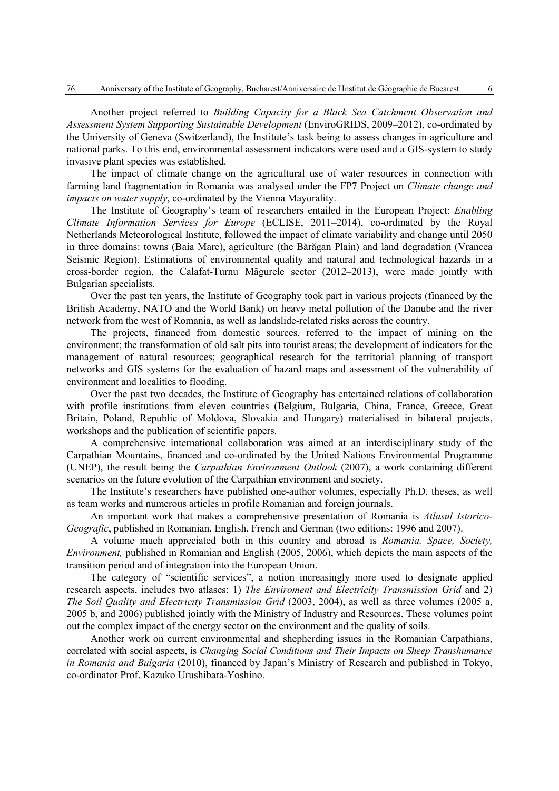Another project referred to *Building Capacity for a Black Sea Catchment Observation and Assessment System Supporting Sustainable Development* (EnviroGRIDS, 2009–2012), co-ordinated by the University of Geneva (Switzerland), the Institute's task being to assess changes in agriculture and national parks. To this end, environmental assessment indicators were used and a GIS-system to study invasive plant species was established.

The impact of climate change on the agricultural use of water resources in connection with farming land fragmentation in Romania was analysed under the FP7 Project on *Climate change and impacts on water supply*, co-ordinated by the Vienna Mayorality.

The Institute of Geography's team of researchers entailed in the European Project: *Enabling Climate Information Services for Europe* (ECLISE, 2011–2014), co-ordinated by the Royal Netherlands Meteorological Institute, followed the impact of climate variability and change until 2050 in three domains: towns (Baia Mare), agriculture (the Bărăgan Plain) and land degradation (Vrancea Seismic Region). Estimations of environmental quality and natural and technological hazards in a cross-border region, the Calafat-Turnu Măgurele sector (2012–2013), were made jointly with Bulgarian specialists.

Over the past ten years, the Institute of Geography took part in various projects (financed by the British Academy, NATO and the World Bank) on heavy metal pollution of the Danube and the river network from the west of Romania, as well as landslide-related risks across the country.

The projects, financed from domestic sources, referred to the impact of mining on the environment; the transformation of old salt pits into tourist areas; the development of indicators for the management of natural resources; geographical research for the territorial planning of transport networks and GIS systems for the evaluation of hazard maps and assessment of the vulnerability of environment and localities to flooding.

Over the past two decades, the Institute of Geography has entertained relations of collaboration with profile institutions from eleven countries (Belgium, Bulgaria, China, France, Greece, Great Britain, Poland, Republic of Moldova, Slovakia and Hungary) materialised in bilateral projects, workshops and the publication of scientific papers.

A comprehensive international collaboration was aimed at an interdisciplinary study of the Carpathian Mountains, financed and co-ordinated by the United Nations Environmental Programme (UNEP), the result being the *Carpathian Environment Outlook* (2007), a work containing different scenarios on the future evolution of the Carpathian environment and society.

The Institute's researchers have published one-author volumes, especially Ph.D. theses, as well as team works and numerous articles in profile Romanian and foreign journals.

An important work that makes a comprehensive presentation of Romania is *Atlasul Istorico-Geografic*, published in Romanian, English, French and German (two editions: 1996 and 2007).

A volume much appreciated both in this country and abroad is *Romania. Space, Society, Environment,* published in Romanian and English (2005, 2006), which depicts the main aspects of the transition period and of integration into the European Union.

The category of "scientific services", a notion increasingly more used to designate applied research aspects, includes two atlases: 1) *The Enviroment and Electricity Transmission Grid* and 2) *The Soil Quality and Electricity Transmission Grid* (2003, 2004), as well as three volumes (2005 a, 2005 b, and 2006) published jointly with the Ministry of Industry and Resources. These volumes point out the complex impact of the energy sector on the environment and the quality of soils.

Another work on current environmental and shepherding issues in the Romanian Carpathians, correlated with social aspects, is *Changing Social Conditions and Their Impacts on Sheep Transhumance in Romania and Bulgaria* (2010), financed by Japan's Ministry of Research and published in Tokyo, co-ordinator Prof. Kazuko Urushibara-Yoshino.